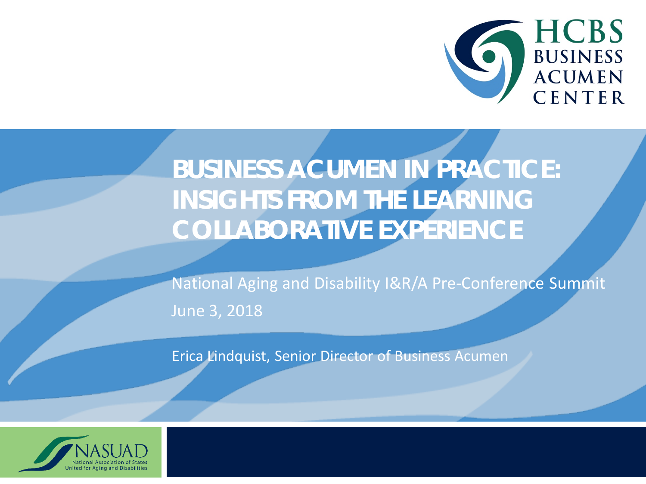

#### **BUSINESS ACUMEN IN PRACTICE: INSIGHTS FROM THE LEARNING COLLABORATIVE EXPERIENCE**

National Aging and Disability I&R/A Pre-Conference Summit June 3, 2018

Erica Lindquist, Senior Director of Business Acumen

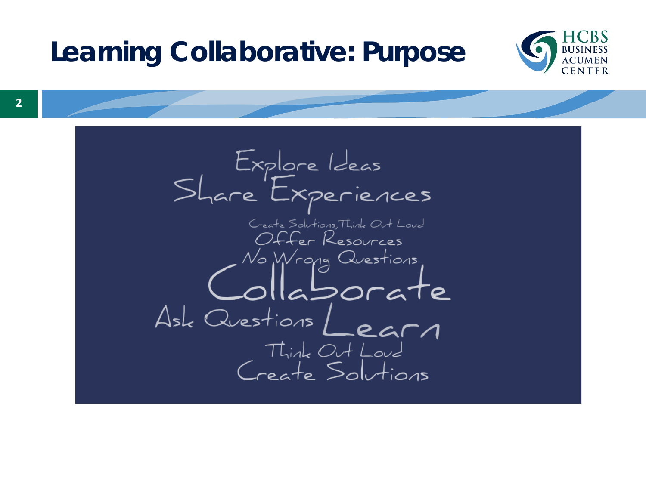#### **Learning Collaborative: Purpose**



**2**

Explore Ideas<br>Share Experiences Create Solutions, Think Out Loud Offer Resources No Wrong Questions<br>Olla Dorate Ask Questions Learn<br>Think Out Loud<br>Create Solutions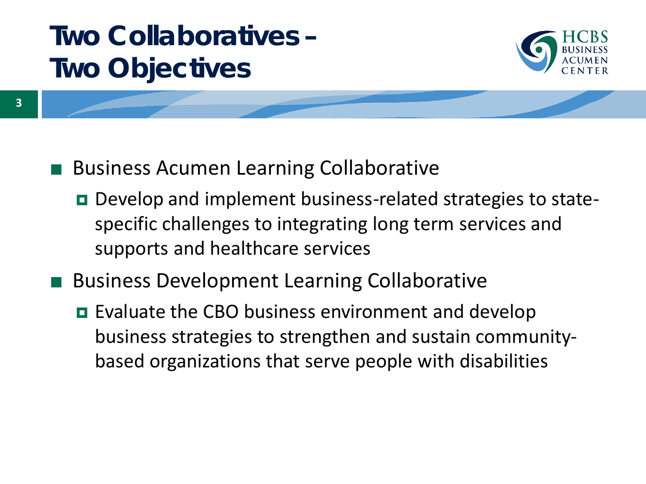#### **Two Collaboratives – Two Objectives**



- Business Acumen Learning Collaborative
	- Develop and implement business-related strategies to statespecific challenges to integrating long term services and supports and healthcare services
- Business Development Learning Collaborative
	- **EValuate the CBO business environment and develop** business strategies to strengthen and sustain communitybased organizations that serve people with disabilities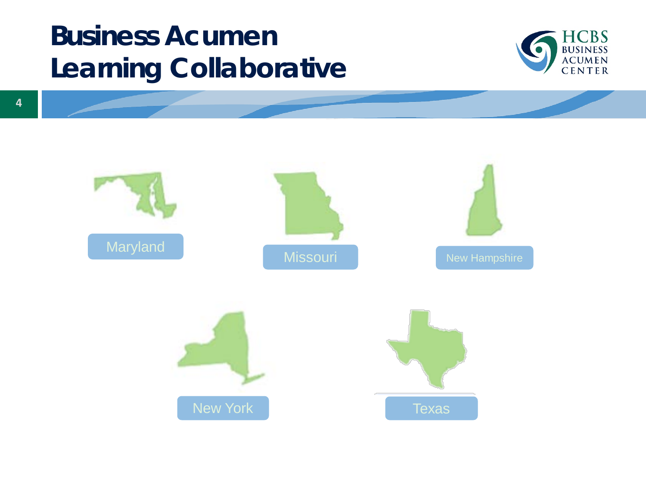#### **Business Acumen Learning Collaborative**



Maryland Missouri New Hampshire New York New York New York New York New York New York New York New York New York New York New York New York New York New York New York New York New York New York New York New York New York New York New York New York New Yo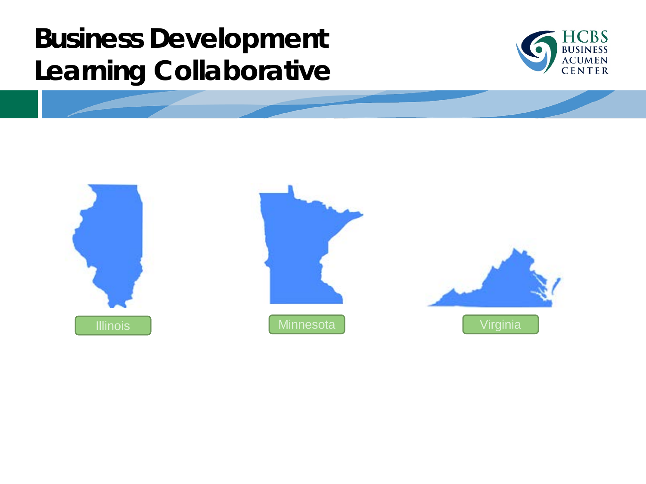#### **Business Development Learning Collaborative**







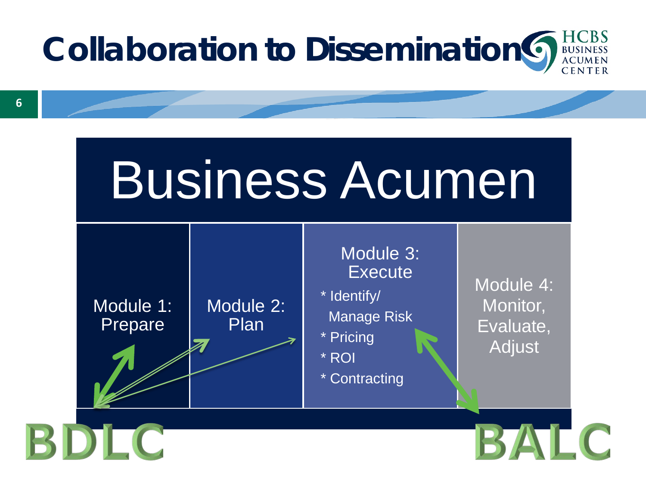

# Business Acumen



BDLC

#### Module 3: **Execute**

\* Identify/ Manage Risk

\* Pricing

\* ROI

\* Contracting

Module 4: Monitor, Evaluate, Adjust

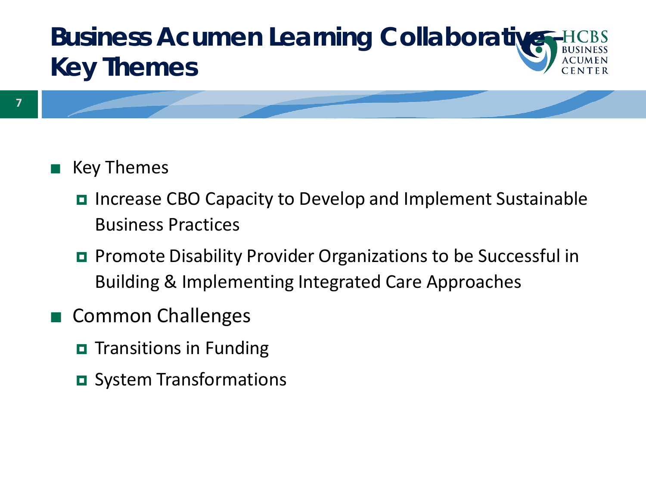#### **Business Acumen Learning Collaborative – Key Themes**

#### **Key Themes**

- Increase CBO Capacity to Develop and Implement Sustainable Business Practices
- **Promote Disability Provider Organizations to be Successful in** Building & Implementing Integrated Care Approaches
- Common Challenges
	- $\blacksquare$  Transitions in Funding
	- System Transformations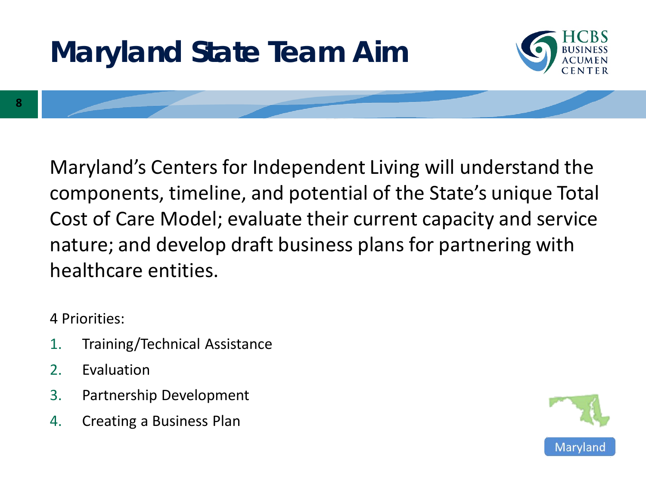



**8**

Maryland's Centers for Independent Living will understand the components, timeline, and potential of the State's unique Total Cost of Care Model; evaluate their current capacity and service nature; and develop draft business plans for partnering with healthcare entities.

4 Priorities:

- 1. Training/Technical Assistance
- 2. Evaluation
- 3. Partnership Development
- 4. Creating a Business Plan

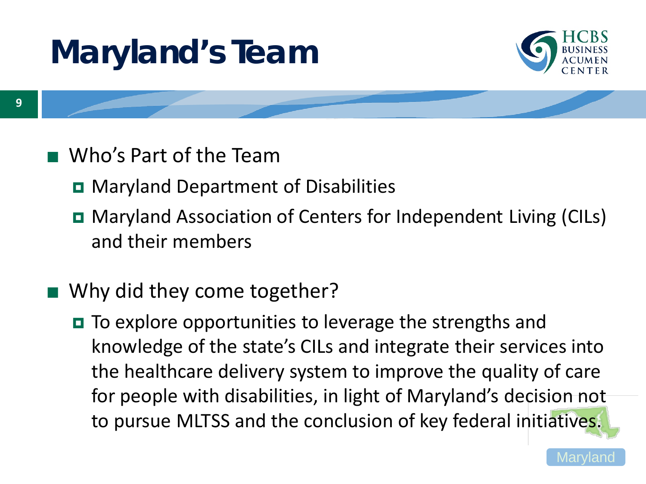# **Maryland's Team**



- Who's Part of the Team
	- **D** Maryland Department of Disabilities
	- Maryland Association of Centers for Independent Living (CILs) and their members
- Why did they come together?
	- To explore opportunities to leverage the strengths and knowledge of the state's CILs and integrate their services into the healthcare delivery system to improve the quality of care for people with disabilities, in light of Maryland's decision not to pursue MLTSS and the conclusion of key federal initiatives.

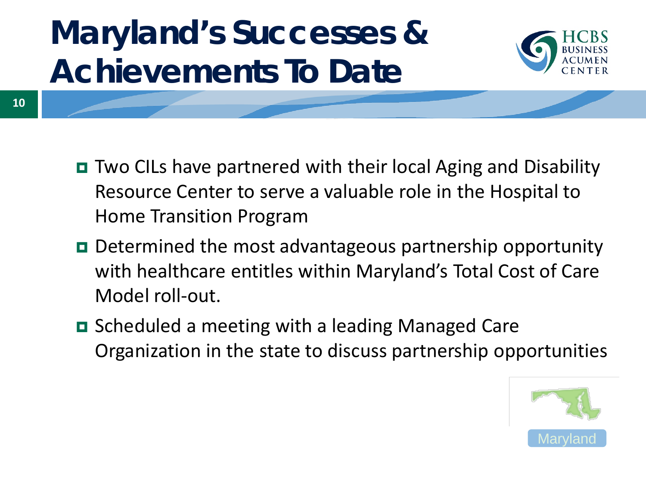# **Maryland's Successes & Achievements To Date**

**10**



- Two CILs have partnered with their local Aging and Disability
	- Resource Center to serve a valuable role in the Hospital to Home Transition Program
	- Determined the most advantageous partnership opportunity with healthcare entitles within Maryland's Total Cost of Care Model roll-out.
	- **□** Scheduled a meeting with a leading Managed Care Organization in the state to discuss partnership opportunities

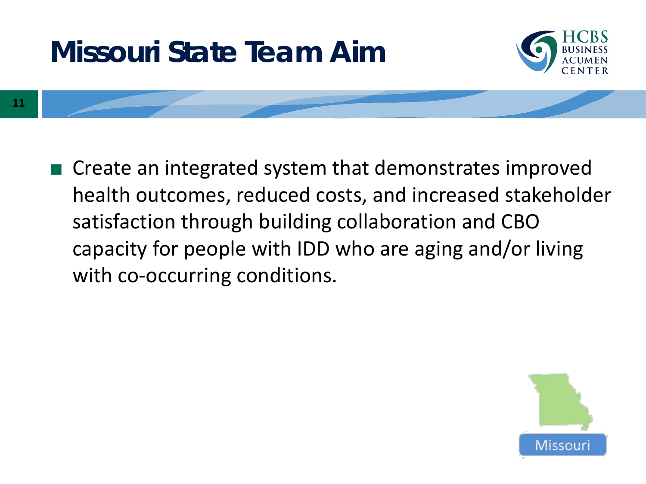#### **Missouri State Team Aim**



**11**

■ Create an integrated system that demonstrates improved health outcomes, reduced costs, and increased stakeholder satisfaction through building collaboration and CBO capacity for people with IDD who are aging and/or living with co-occurring conditions.

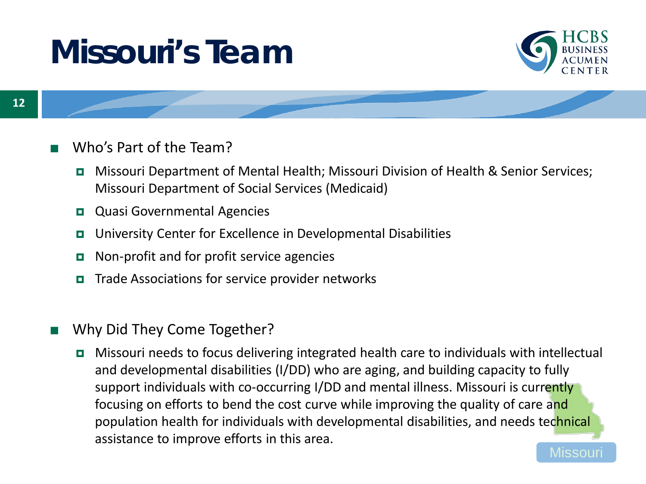# **Missouri's Team**



#### Who's Part of the Team?

- Missouri Department of Mental Health; Missouri Division of Health & Senior Services; Missouri Department of Social Services (Medicaid)
- **Quasi Governmental Agencies**
- University Center for Excellence in Developmental Disabilities
- **Non-profit and for profit service agencies**
- $\blacksquare$  Trade Associations for service provider networks
- Why Did They Come Together?
	- Missou Missouri needs to focus delivering integrated health care to individuals with intellectual and developmental disabilities (I/DD) who are aging, and building capacity to fully support individuals with co-occurring I/DD and mental illness. Missouri is currently focusing on efforts to bend the cost curve while improving the quality of care and population health for individuals with developmental disabilities, and needs technical assistance to improve efforts in this area.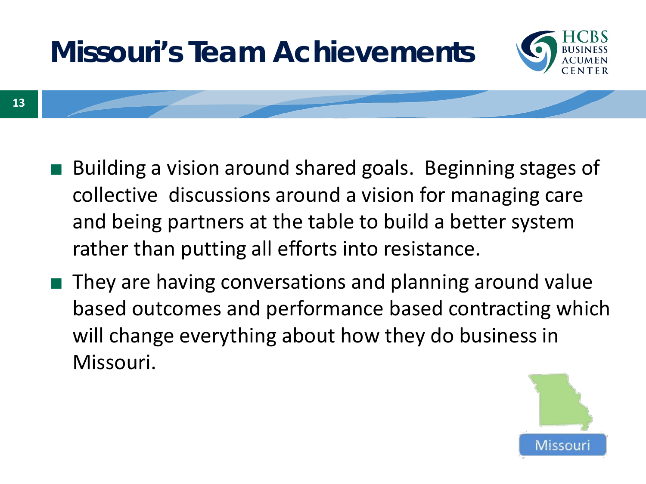

- Building a vision around shared goals. Beginning stages of collective discussions around a vision for managing care and being partners at the table to build a better system rather than putting all efforts into resistance.
- They are having conversations and planning around value based outcomes and performance based contracting which will change everything about how they do business in Missouri.

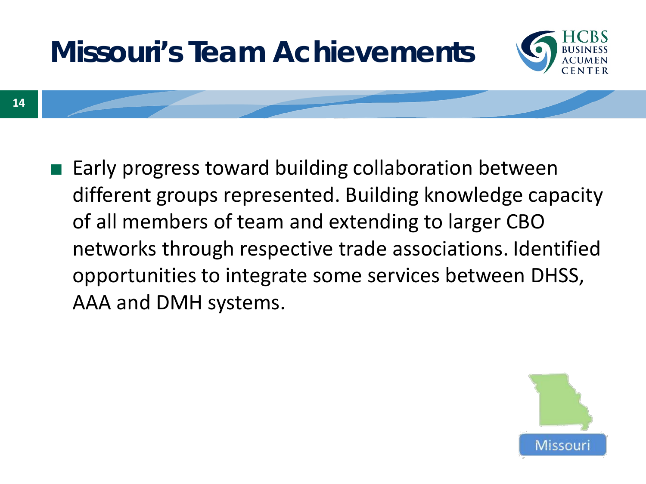

■ Early progress toward building collaboration between different groups represented. Building knowledge capacity of all members of team and extending to larger CBO networks through respective trade associations. Identified opportunities to integrate some services between DHSS, AAA and DMH systems.

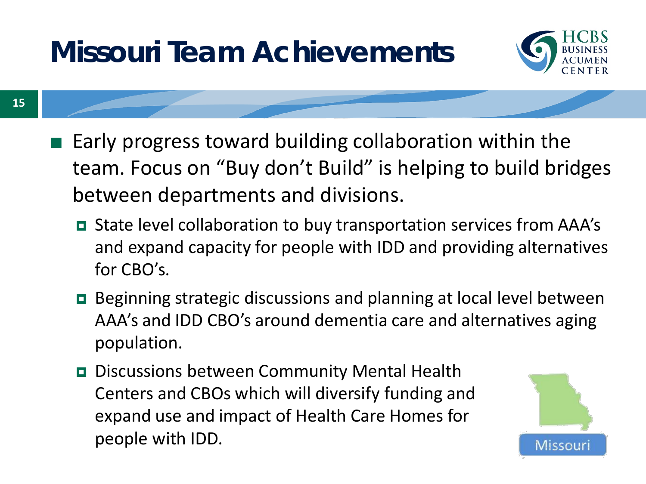### **Missouri Team Achievements**



- Early progress toward building collaboration within the team. Focus on "Buy don't Build" is helping to build bridges between departments and divisions.
	- State level collaboration to buy transportation services from AAA's and expand capacity for people with IDD and providing alternatives for CBO's.
	- Beginning strategic discussions and planning at local level between AAA's and IDD CBO's around dementia care and alternatives aging population.
	- Discussions between Community Mental Health Centers and CBOs which will diversify funding and expand use and impact of Health Care Homes for people with IDD.

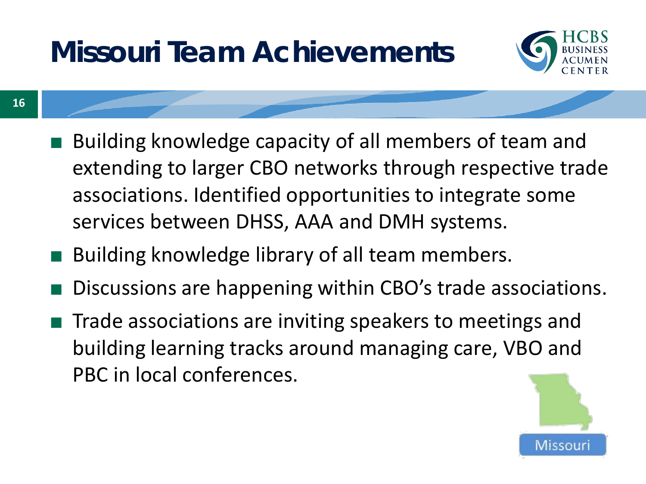### **Missouri Team Achievements**

**16**



- Building knowledge capacity of all members of team and extending to larger CBO networks through respective trade associations. Identified opportunities to integrate some services between DHSS, AAA and DMH systems.
- Building knowledge library of all team members.
- Discussions are happening within CBO's trade associations.
- Trade associations are inviting speakers to meetings and building learning tracks around managing care, VBO and PBC in local conferences.

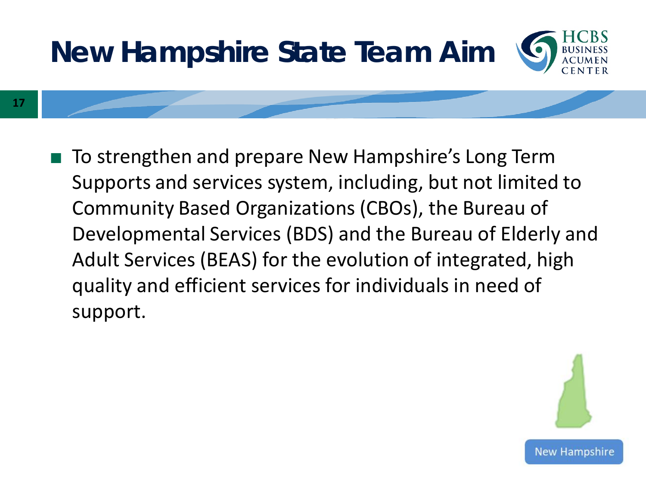

**17**

■ To strengthen and prepare New Hampshire's Long Term Supports and services system, including, but not limited to Community Based Organizations (CBOs), the Bureau of Developmental Services (BDS) and the Bureau of Elderly and Adult Services (BEAS) for the evolution of integrated, high quality and efficient services for individuals in need of support.

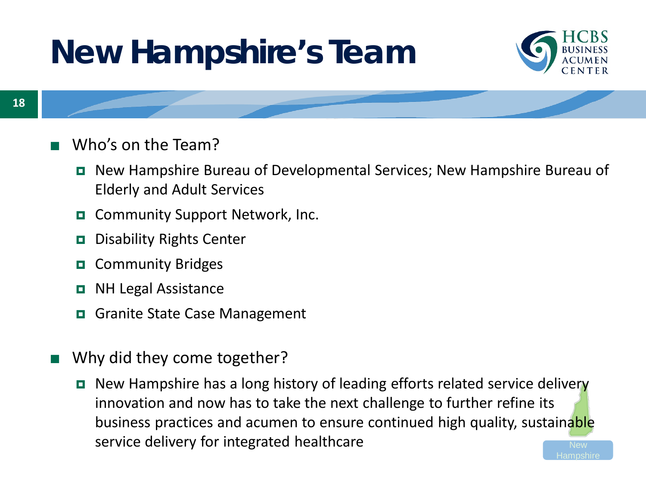# **New Hampshire's Team**



Hampshire

- Who's on the Team?
	- New Hampshire Bureau of Developmental Services; New Hampshire Bureau of Elderly and Adult Services
	- Community Support Network, Inc.
	- **Disability Rights Center**
	- **D** Community Bridges
	- **D** NH Legal Assistance
	- Granite State Case Management
- Why did they come together?
	- New Hampshire has a long history of leading efforts related service delivery innovation and now has to take the next challenge to further refine its business practices and acumen to ensure continued high quality, sustainable service delivery for integrated healthcare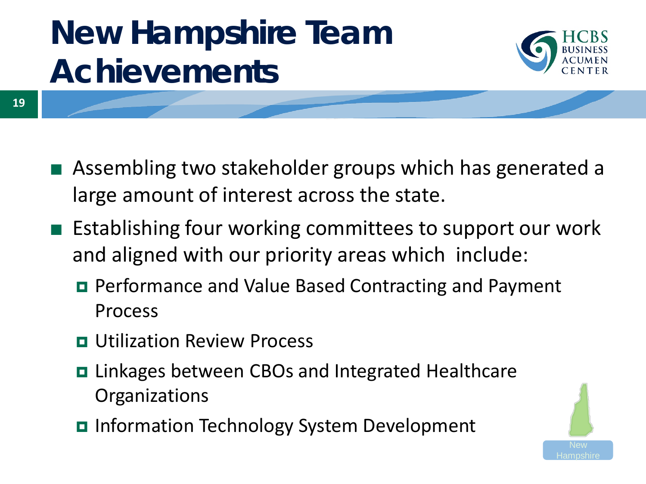

**19**

- Assembling two stakeholder groups which has generated a large amount of interest across the state.
- Establishing four working committees to support our work and aligned with our priority areas which include:
	- Performance and Value Based Contracting and Payment Process
	- **<u>E</u>** Utilization Review Process
	- **□** Linkages between CBOs and Integrated Healthcare **Organizations**
	- **Information Technology System Development**

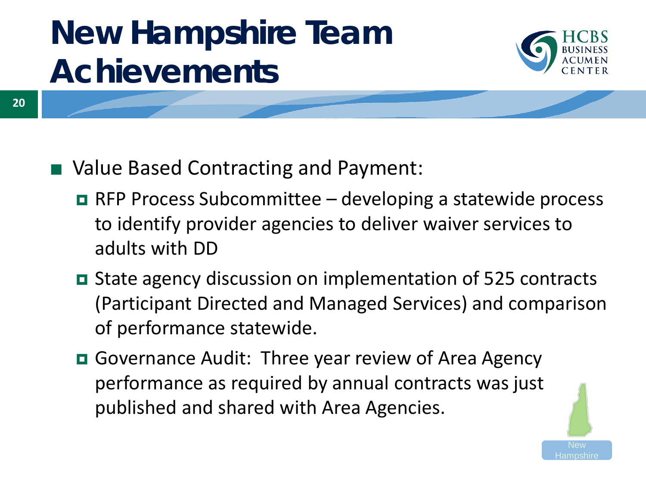

- Value Based Contracting and Payment:
	- $\blacksquare$  RFP Process Subcommittee developing a statewide process to identify provider agencies to deliver waiver services to adults with DD
	- State agency discussion on implementation of 525 contracts (Participant Directed and Managed Services) and comparison of performance statewide.
	- Governance Audit: Three year review of Area Agency performance as required by annual contracts was just published and shared with Area Agencies.

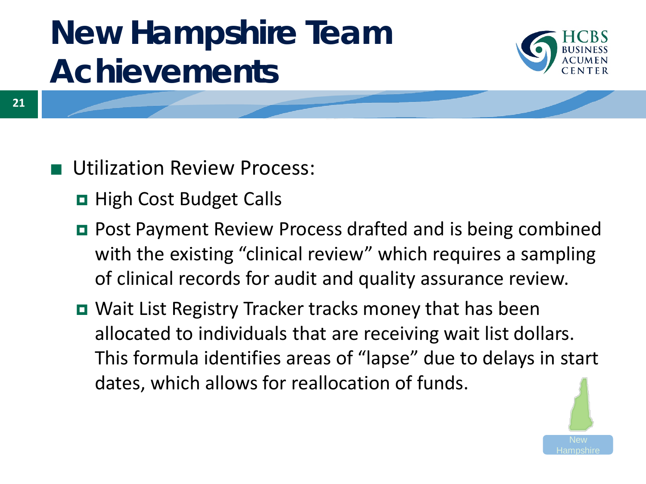

**21**

**Utilization Review Process:** 

- **D** High Cost Budget Calls
- Post Payment Review Process drafted and is being combined with the existing "clinical review" which requires a sampling of clinical records for audit and quality assurance review.
- Wait List Registry Tracker tracks money that has been allocated to individuals that are receiving wait list dollars. This formula identifies areas of "lapse" due to delays in start dates, which allows for reallocation of funds.

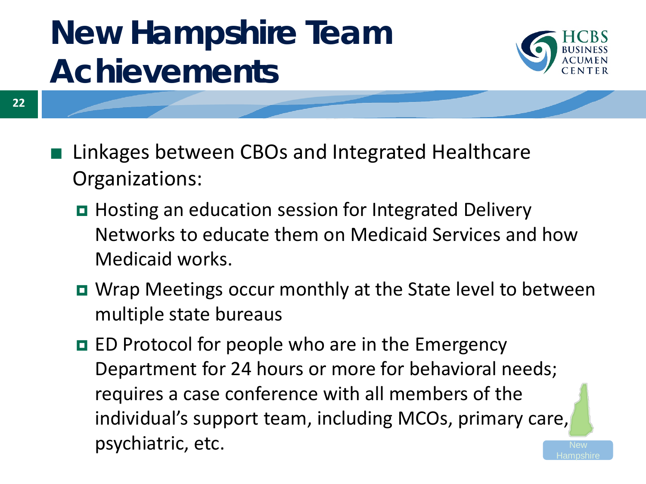

- **22**
- Linkages between CBOs and Integrated Healthcare Organizations:
	- Hosting an education session for Integrated Delivery Networks to educate them on Medicaid Services and how Medicaid works.
	- Wrap Meetings occur monthly at the State level to between multiple state bureaus
	- **ED** Protocol for people who are in the Emergency Department for 24 hours or more for behavioral needs; requires a case conference with all members of the individual's support team, including MCOs, primary care, psychiatric, etc. Hampshire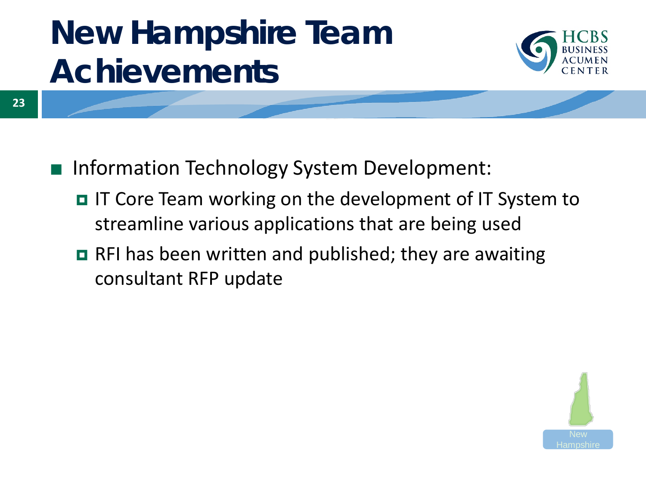

- Information Technology System Development:
	- IT Core Team working on the development of IT System to streamline various applications that are being used
	- RFI has been written and published; they are awaiting consultant RFP update

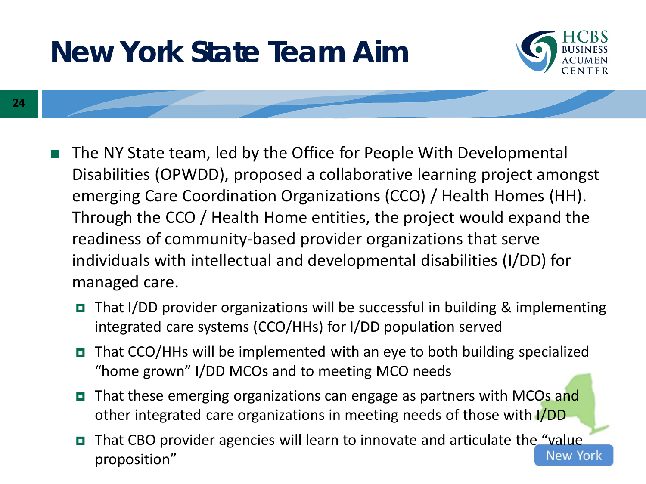### **New York State Team Aim**



- **24**
- The NY State team, led by the Office for People With Developmental Disabilities (OPWDD), proposed a collaborative learning project amongst emerging Care Coordination Organizations (CCO) / Health Homes (HH). Through the CCO / Health Home entities, the project would expand the readiness of community-based provider organizations that serve individuals with intellectual and developmental disabilities (I/DD) for managed care.
	- That I/DD provider organizations will be successful in building & implementing integrated care systems (CCO/HHs) for I/DD population served
	- $\blacksquare$  That CCO/HHs will be implemented with an eye to both building specialized "home grown" I/DD MCOs and to meeting MCO needs
	- That these emerging organizations can engage as partners with MCOs and other integrated care organizations in meeting needs of those with I/DD
	- That CBO provider agencies will learn to innovate and articulate the "value **New York** proposition"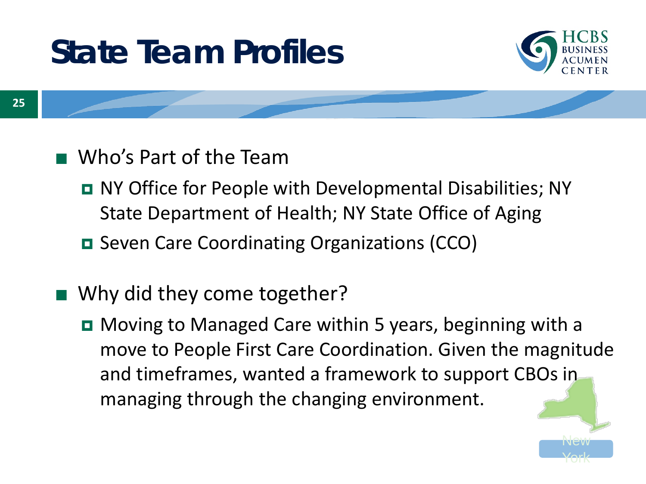# **State Team Profiles**



- Who's Part of the Team
	- NY Office for People with Developmental Disabilities; NY State Department of Health; NY State Office of Aging
	- **□** Seven Care Coordinating Organizations (CCO)
- Why did they come together?
	- **D** Moving to Managed Care within 5 years, beginning with a move to People First Care Coordination. Given the magnitude and timeframes, wanted a framework to support CBOs in managing through the changing environment.

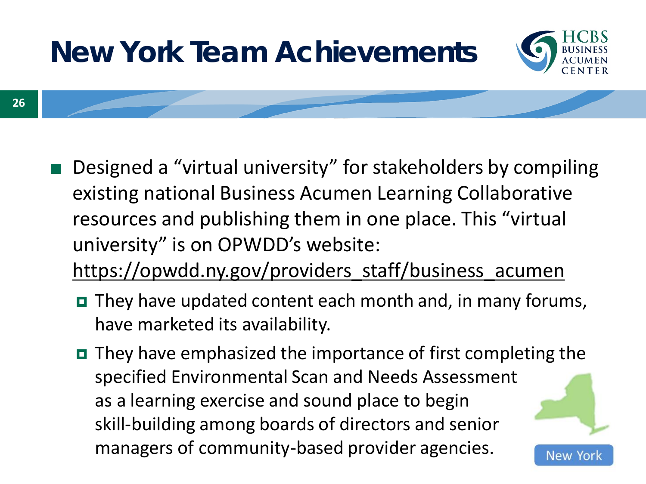

- Designed a "virtual university" for stakeholders by compiling existing national Business Acumen Learning Collaborative resources and publishing them in one place. This "virtual university" is on OPWDD's website: [https://opwdd.ny.gov/providers\\_staff/business\\_acumen](https://opwdd.ny.gov/providers_staff/business_acumen)
	- **O** They have updated content each month and, in many forums, have marketed its availability.
	- $\blacksquare$  They have emphasized the importance of first completing the specified Environmental Scan and Needs Assessment as a learning exercise and sound place to begin skill-building among boards of directors and senior managers of community-based provider agencies. New Yor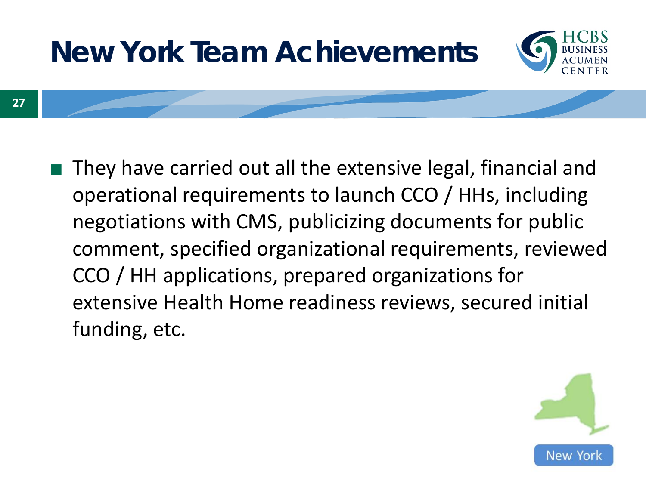

■ They have carried out all the extensive legal, financial and operational requirements to launch CCO / HHs, including negotiations with CMS, publicizing documents for public comment, specified organizational requirements, reviewed CCO / HH applications, prepared organizations for extensive Health Home readiness reviews, secured initial funding, etc.

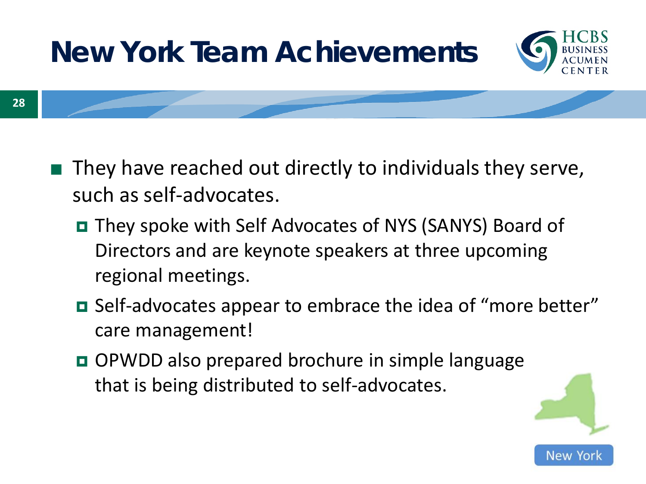

- They have reached out directly to individuals they serve, such as self-advocates.
	- They spoke with Self Advocates of NYS (SANYS) Board of Directors and are keynote speakers at three upcoming regional meetings.
	- Self-advocates appear to embrace the idea of "more better" care management!
	- OPWDD also prepared brochure in simple language that is being distributed to self-advocates.

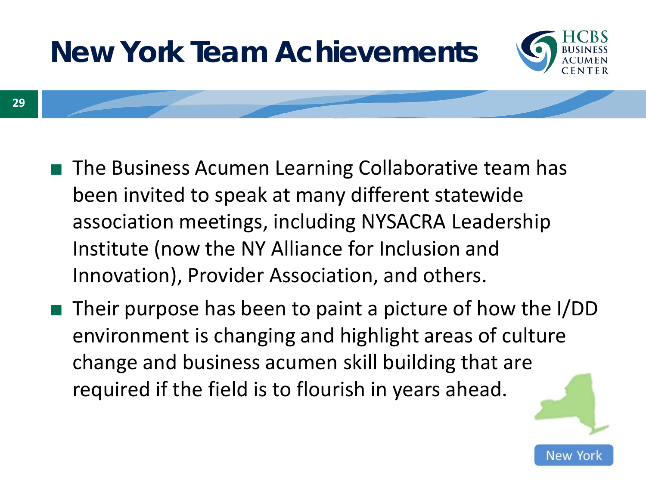

- The Business Acumen Learning Collaborative team has been invited to speak at many different statewide association meetings, including NYSACRA Leadership Institute (now the NY Alliance for Inclusion and Innovation), Provider Association, and others.
- Their purpose has been to paint a picture of how the I/DD environment is changing and highlight areas of culture change and business acumen skill building that are required if the field is to flourish in years ahead.

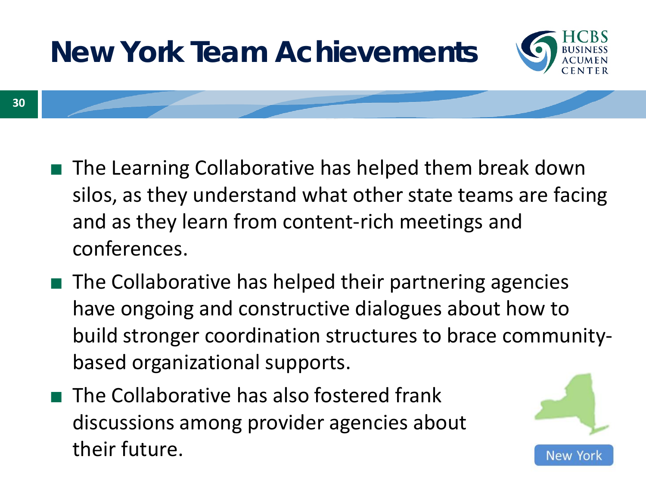

- The Learning Collaborative has helped them break down silos, as they understand what other state teams are facing and as they learn from content-rich meetings and conferences.
- The Collaborative has helped their partnering agencies have ongoing and constructive dialogues about how to build stronger coordination structures to brace communitybased organizational supports.
- The Collaborative has also fostered frank discussions among provider agencies about their future.

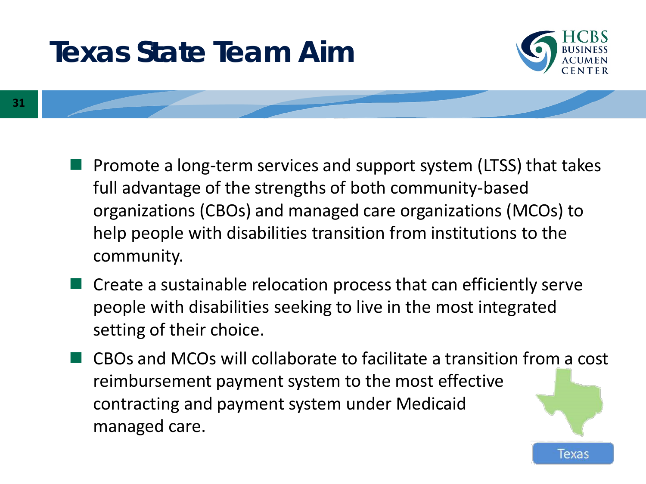### **Texas State Team Aim**



Texas

**31**

- Promote a long-term services and support system (LTSS) that takes full advantage of the strengths of both community-based organizations (CBOs) and managed care organizations (MCOs) to help people with disabilities transition from institutions to the community.
- Create a sustainable relocation process that can efficiently serve people with disabilities seeking to live in the most integrated setting of their choice.
- CBOs and MCOs will collaborate to facilitate a transition from a cost reimbursement payment system to the most effective contracting and payment system under Medicaid managed care.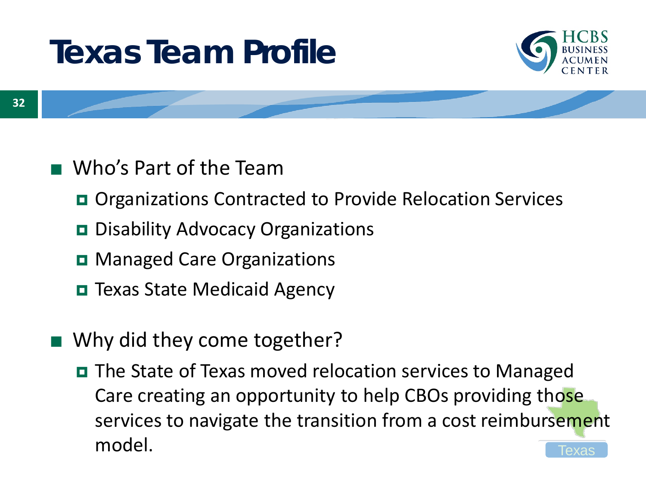# **Texas Team Profile**



- Who's Part of the Team
	- Organizations Contracted to Provide Relocation Services
	- **D** Disability Advocacy Organizations
	- **D** Managed Care Organizations
	- **□** Texas State Medicaid Agency
- Why did they come together?
	- Texas ■ The State of Texas moved relocation services to Managed Care creating an opportunity to help CBOs providing those services to navigate the transition from a cost reimbursement model.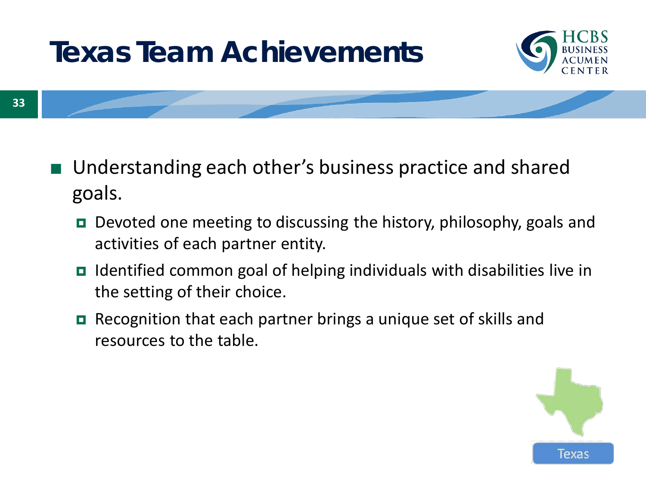

- Understanding each other's business practice and shared goals.
	- **□** Devoted one meeting to discussing the history, philosophy, goals and activities of each partner entity.
	- Identified common goal of helping individuals with disabilities live in the setting of their choice.
	- Recognition that each partner brings a unique set of skills and resources to the table.

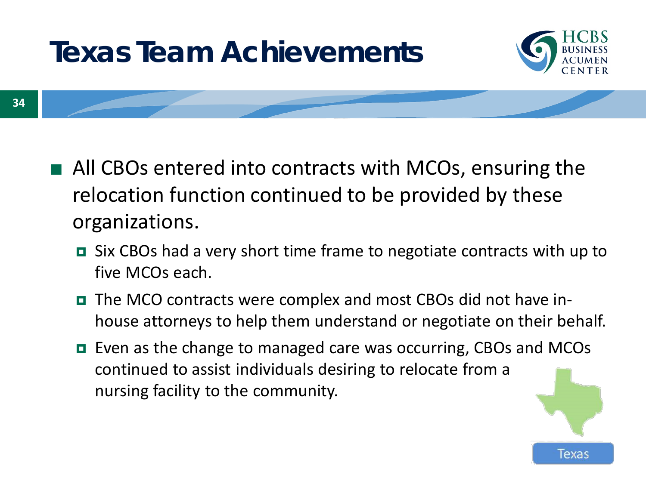

**34**

- All CBOs entered into contracts with MCOs, ensuring the relocation function continued to be provided by these organizations.
	- Six CBOs had a very short time frame to negotiate contracts with up to five MCOs each.
	- The MCO contracts were complex and most CBOs did not have inhouse attorneys to help them understand or negotiate on their behalf.
	- Even as the change to managed care was occurring, CBOs and MCOs continued to assist individuals desiring to relocate from a nursing facility to the community.

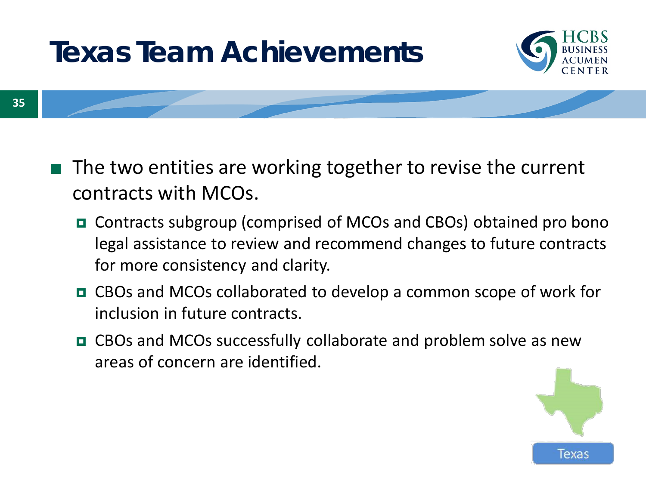

- The two entities are working together to revise the current contracts with MCOs.
	- Contracts subgroup (comprised of MCOs and CBOs) obtained pro bono legal assistance to review and recommend changes to future contracts for more consistency and clarity.
	- CBOs and MCOs collaborated to develop a common scope of work for inclusion in future contracts.
	- CBOs and MCOs successfully collaborate and problem solve as new areas of concern are identified.

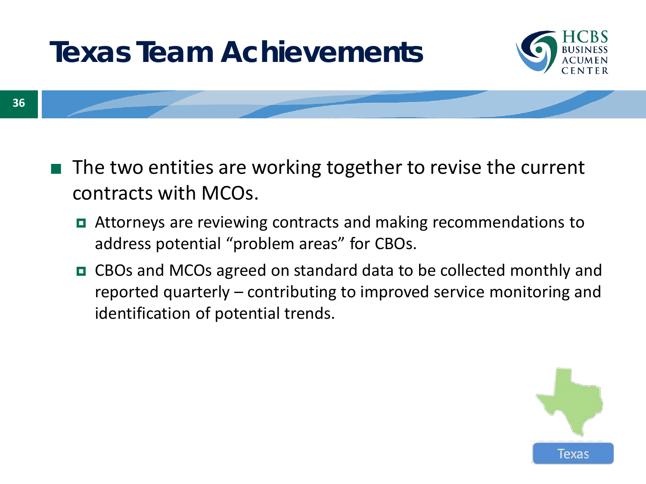

- The two entities are working together to revise the current contracts with MCOs.
	- Attorneys are reviewing contracts and making recommendations to address potential "problem areas" for CBOs.
	- CBOs and MCOs agreed on standard data to be collected monthly and reported quarterly – contributing to improved service monitoring and identification of potential trends.

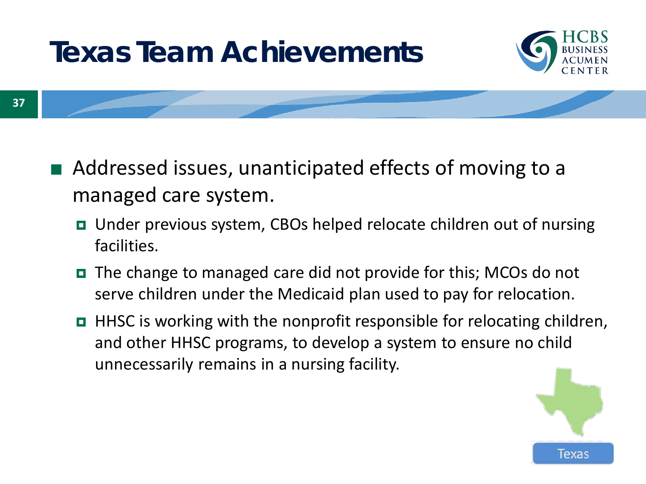

- Addressed issues, unanticipated effects of moving to a managed care system.
	- Under previous system, CBOs helped relocate children out of nursing facilities.
	- The change to managed care did not provide for this; MCOs do not serve children under the Medicaid plan used to pay for relocation.
	- HHSC is working with the nonprofit responsible for relocating children, and other HHSC programs, to develop a system to ensure no child unnecessarily remains in a nursing facility.

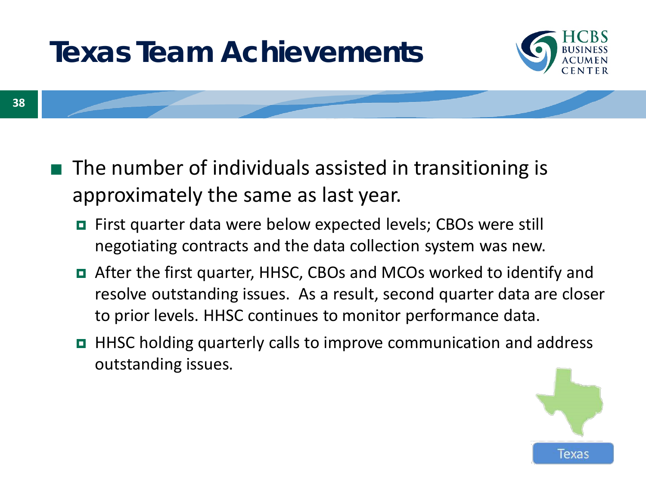

**38**

- The number of individuals assisted in transitioning is approximately the same as last year.
	- First quarter data were below expected levels; CBOs were still negotiating contracts and the data collection system was new.
	- After the first quarter, HHSC, CBOs and MCOs worked to identify and resolve outstanding issues. As a result, second quarter data are closer to prior levels. HHSC continues to monitor performance data.
	- HHSC holding quarterly calls to improve communication and address outstanding issues.

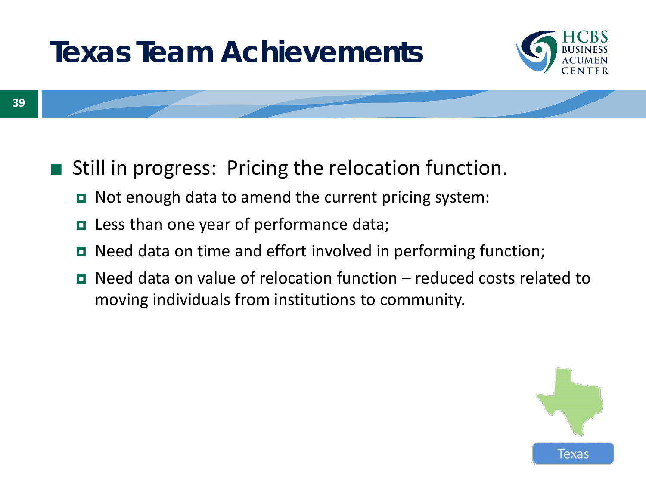

- Still in progress: Pricing the relocation function.
	- Not enough data to amend the current pricing system:
	- **Less than one year of performance data;**
	- Need data on time and effort involved in performing function;
	- $\blacksquare$  Need data on value of relocation function reduced costs related to moving individuals from institutions to community.

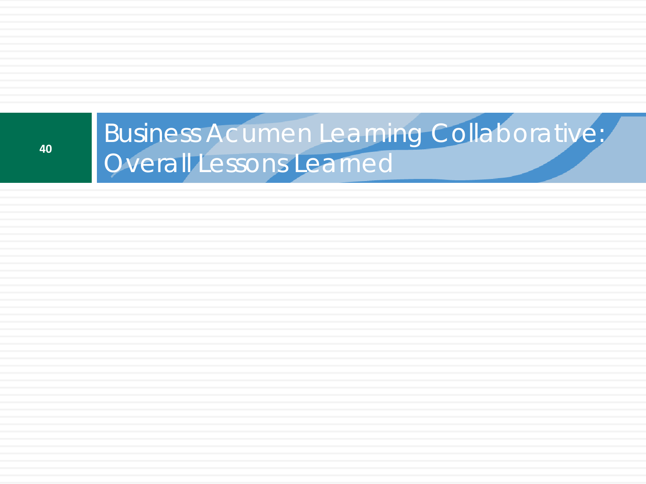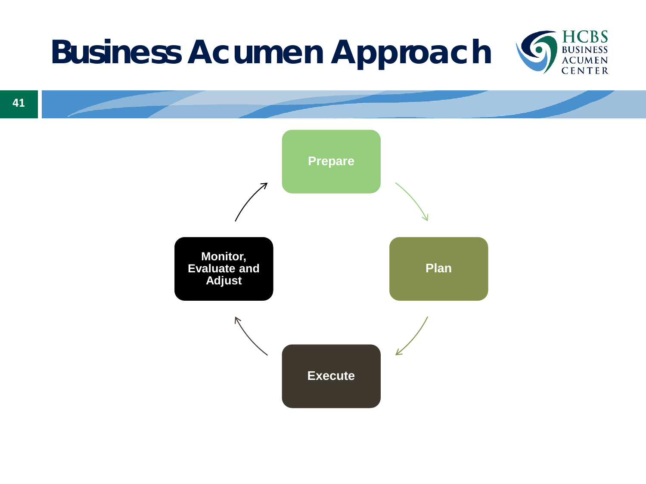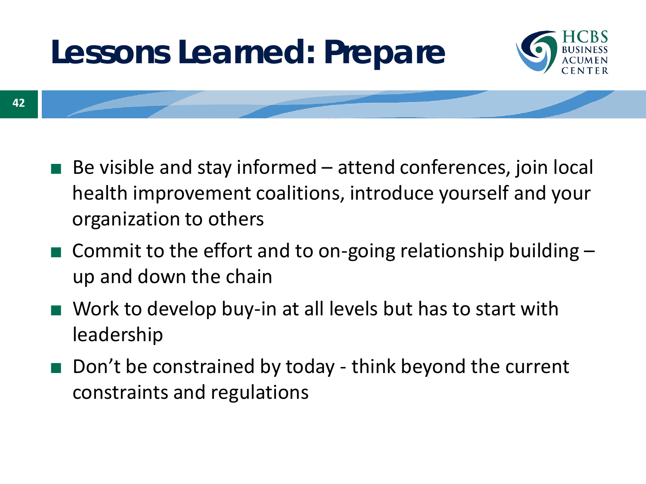# **Lessons Learned: Prepare**



**42**

- Be visible and stay informed  $-$  attend conferences, join local health improvement coalitions, introduce yourself and your organization to others
- $\blacksquare$  Commit to the effort and to on-going relationship building  $\blacksquare$ up and down the chain
- Work to develop buy-in at all levels but has to start with leadership
- Don't be constrained by today think beyond the current constraints and regulations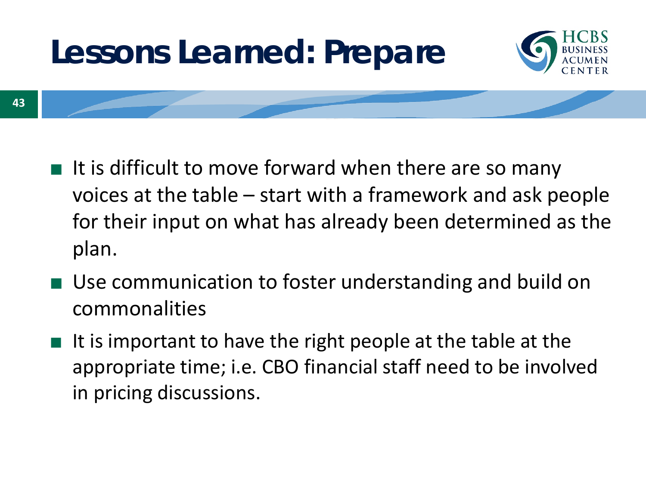# **Lessons Learned: Prepare**



- **43**
- It is difficult to move forward when there are so many voices at the table – start with a framework and ask people for their input on what has already been determined as the plan.
- Use communication to foster understanding and build on commonalities
- It is important to have the right people at the table at the appropriate time; i.e. CBO financial staff need to be involved in pricing discussions.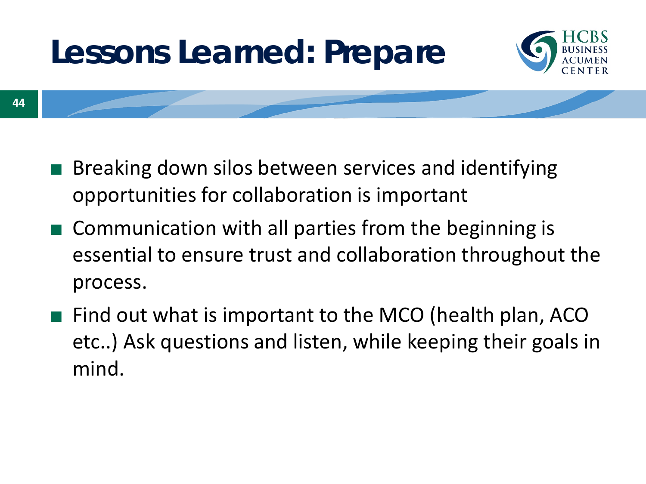# **Lessons Learned: Prepare**



**44**

- Breaking down silos between services and identifying opportunities for collaboration is important
- Communication with all parties from the beginning is essential to ensure trust and collaboration throughout the process.
- Find out what is important to the MCO (health plan, ACO etc..) Ask questions and listen, while keeping their goals in mind.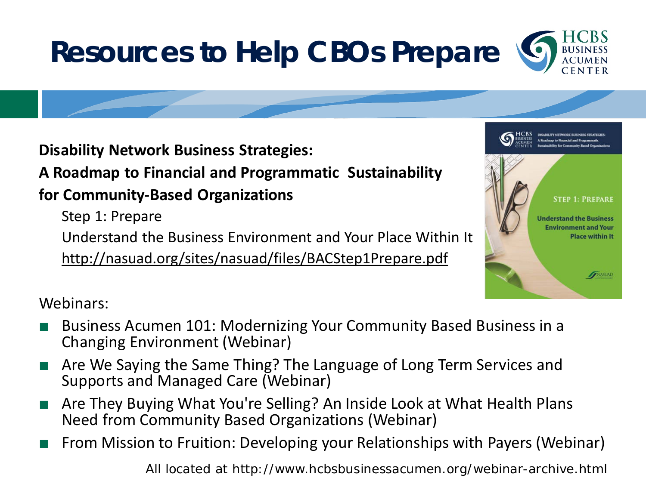# **Resources to Help CBOs Prepare**

DISARILITY NITWORK BLISINESS STR

**STEP 1: PREPARE** 

NASUAD

**Understand the Business Environment and Your Place within It** 

**Disability Network Business Strategies:** 

**A Roadmap to Financial and Programmatic Sustainability** 

**for Community-Based Organizations** 

Step 1: Prepare

Understand the Business Environment and Your Place Within It <http://nasuad.org/sites/nasuad/files/BACStep1Prepare.pdf>

#### Webinars:

- Business Acumen 101: Modernizing Your Community Based Business in a Changing Environment (Webinar)
- Are We Saying the Same Thing? The Language of Long Term Services and Supports and Managed Care (Webinar)
- Are They Buying What You're Selling? An Inside Look at What Health Plans Need from Community Based Organizations (Webinar)
- From Mission to Fruition: Developing your Relationships with Payers (Webinar)

All located at http://www.hcbsbusinessacumen.org/webinar-archive.html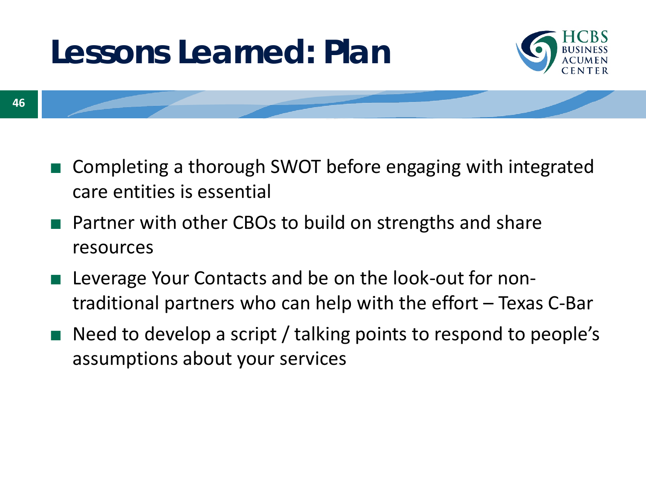# **Lessons Learned: Plan**



- Completing a thorough SWOT before engaging with integrated care entities is essential
- Partner with other CBOs to build on strengths and share resources
- Leverage Your Contacts and be on the look-out for nontraditional partners who can help with the effort – Texas C-Bar
- Need to develop a script / talking points to respond to people's assumptions about your services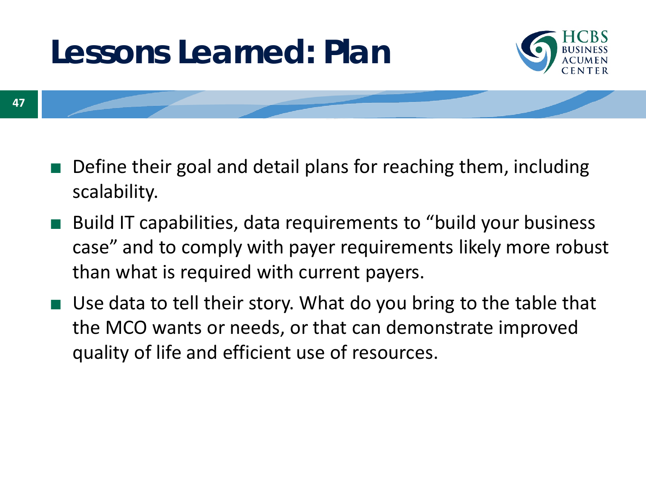# **Lessons Learned: Plan**



- Define their goal and detail plans for reaching them, including scalability.
- Build IT capabilities, data requirements to "build your business case" and to comply with payer requirements likely more robust than what is required with current payers.
- Use data to tell their story. What do you bring to the table that the MCO wants or needs, or that can demonstrate improved quality of life and efficient use of resources.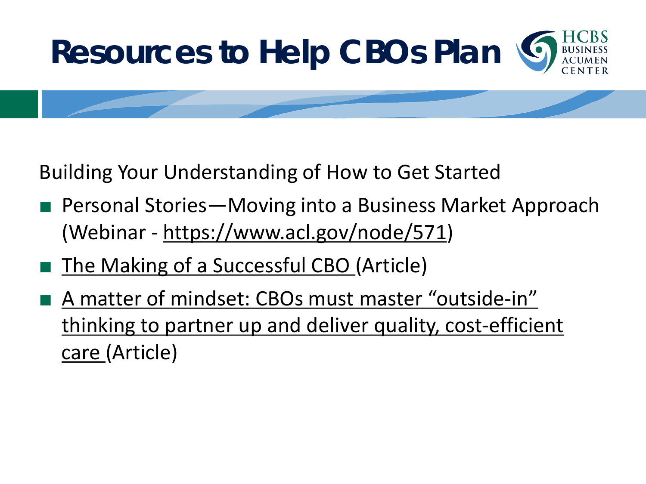

Building Your Understanding of How to Get Started

- Personal Stories—Moving into a Business Market Approach (Webinar - <https://www.acl.gov/node/571>)
- [The Making of a Successful CBO](http://www.aginganddisabilitybusinessinstitute.org/wp-content/uploads/2017/01/ATv37n6-Peterson_Lockwood-002.pdf) (Article)
- A matter of mindset: CBOs must master "outside-in" thinking to partner up and deliver quality, cost-efficient care (Article)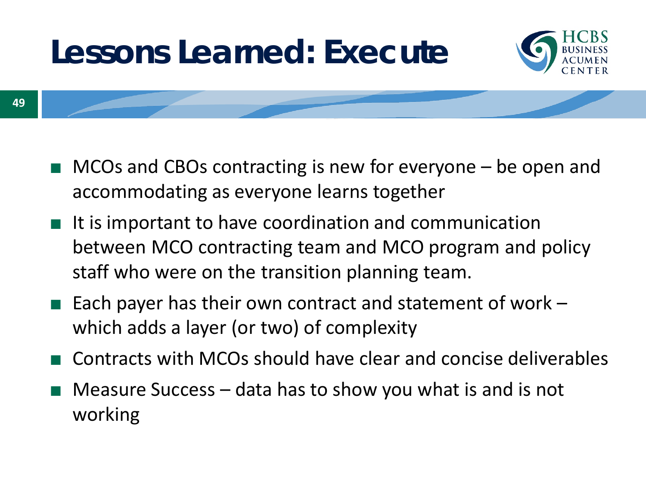# **Lessons Learned: Execute**



- $MCOs$  and CBOs contracting is new for everyone  $-$  be open and accommodating as everyone learns together
- It is important to have coordination and communication between MCO contracting team and MCO program and policy staff who were on the transition planning team.
- Each payer has their own contract and statement of work  $$ which adds a layer (or two) of complexity
- Contracts with MCOs should have clear and concise deliverables
- Measure Success data has to show you what is and is not working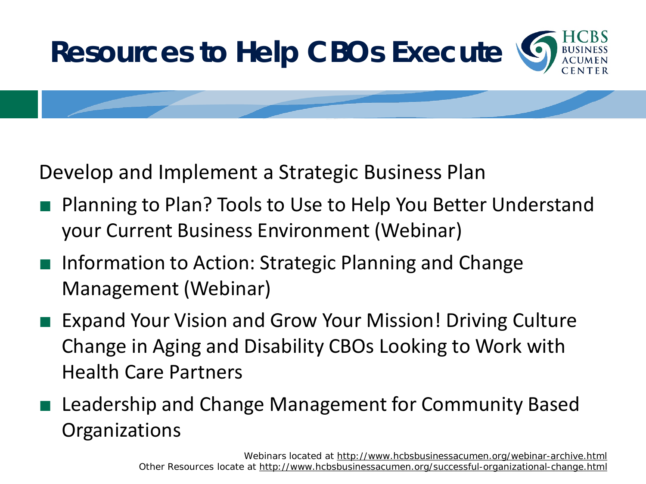

Develop and Implement a Strategic Business Plan

- Planning to Plan? Tools to Use to Help You Better Understand your Current Business Environment (Webinar)
- Information to Action: Strategic Planning and Change Management (Webinar)
- Expand Your Vision and Grow Your Mission! Driving Culture Change in Aging and Disability CBOs Looking to Work with Health Care Partners
- Leadership and Change Management for Community Based **Organizations**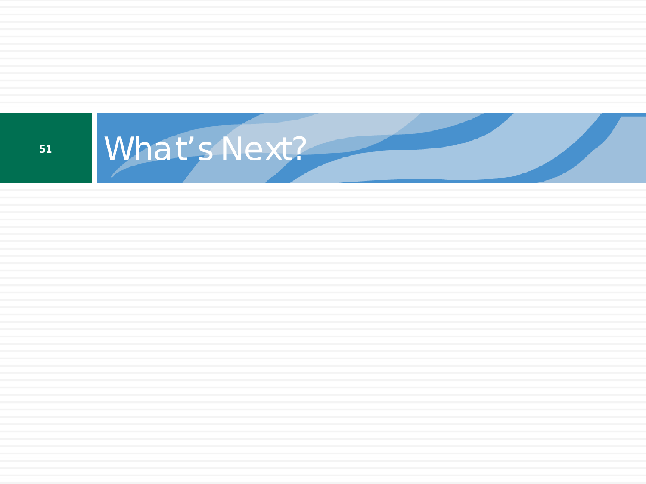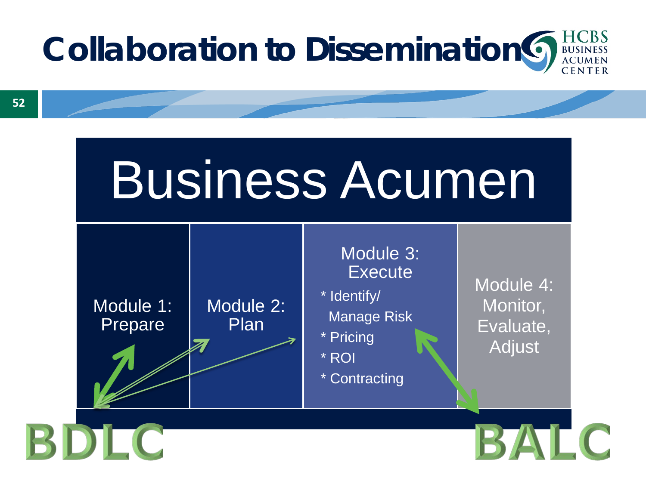

# Business Acumen



BDLC

#### Module 3: **Execute**

\* Identify/ Manage Risk

\* Pricing

\* ROI

\* Contracting

Module 4: Monitor, Evaluate, Adjust

BALC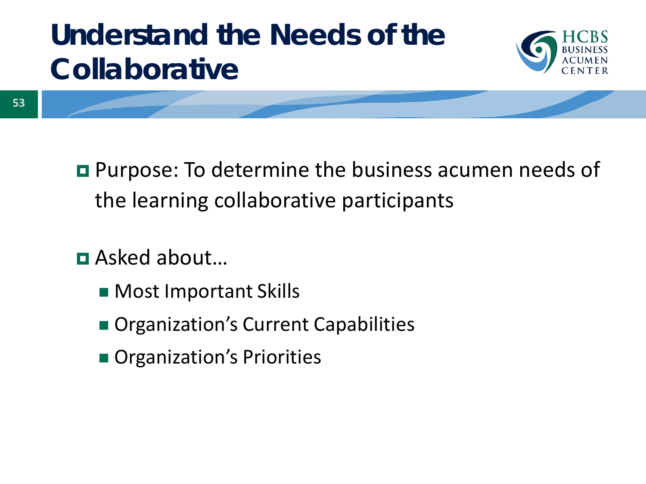## **Understand the Needs of the Collaborative**



- **Purpose: To determine the business acumen needs of** the learning collaborative participants
- Asked about…
	- **Most Important Skills**
	- **Organization's Current Capabilities**
	- **Organization's Priorities**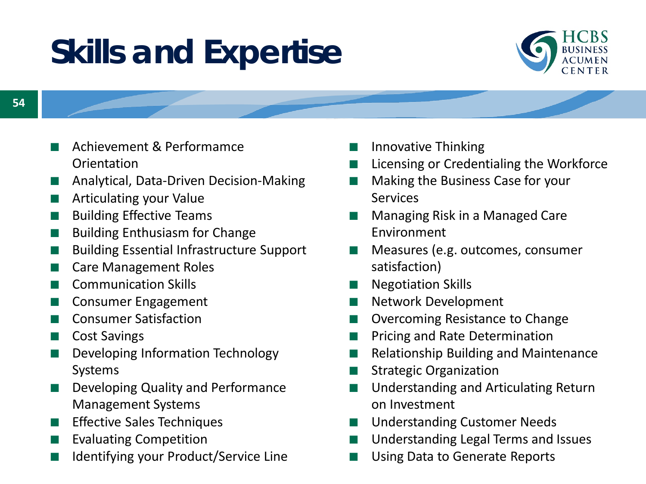# **Skills and Expertise**



- Achievement & Performamce **Orientation**
- Analytical, Data-Driven Decision-Making
- Articulating your Value
- **Building Effective Teams**
- **Building Enthusiasm for Change**
- **Building Essential Infrastructure Support**
- Care Management Roles
- Communication Skills
- Consumer Engagement
- **Consumer Satisfaction**
- Cost Savings
- Developing Information Technology Systems
- Developing Quality and Performance Management Systems
- **Effective Sales Techniques**
- **Evaluating Competition**
- Identifying your Product/Service Line
- Innovative Thinking
- Licensing or Credentialing the Workforce
- Making the Business Case for your Services
- Managing Risk in a Managed Care Environment
- Measures (e.g. outcomes, consumer satisfaction)
- **Negotiation Skills**
- **Network Development**
- **Overcoming Resistance to Change**
- Pricing and Rate Determination
- **Relationship Building and Maintenance**
- **Strategic Organization**
- Understanding and Articulating Return on Investment
- Understanding Customer Needs
- Understanding Legal Terms and Issues
- Using Data to Generate Reports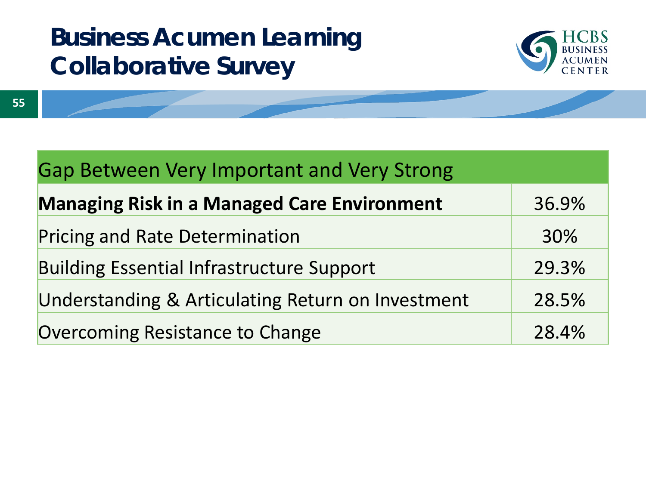#### **Business Acumen Learning Collaborative Survey**



| <b>Gap Between Very Important and Very Strong</b>  |       |  |
|----------------------------------------------------|-------|--|
| <b>Managing Risk in a Managed Care Environment</b> | 36.9% |  |
| <b>Pricing and Rate Determination</b>              | 30%   |  |
| <b>Building Essential Infrastructure Support</b>   | 29.3% |  |
| Understanding & Articulating Return on Investment  | 28.5% |  |
| <b>Overcoming Resistance to Change</b>             | 28.4% |  |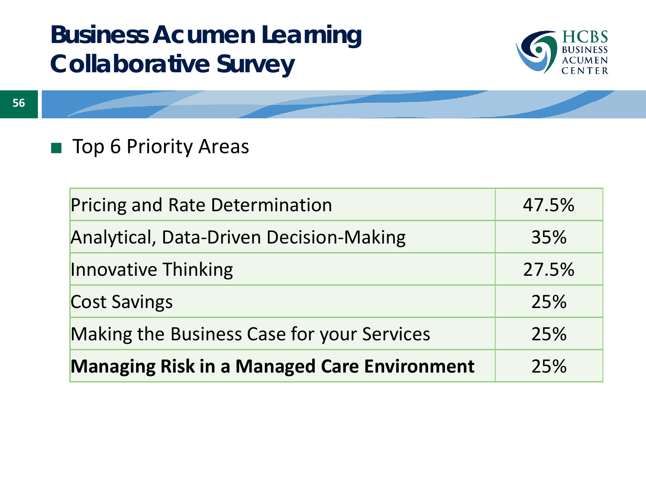#### **Business Acumen Learning Collaborative Survey**



#### ■ Top 6 Priority Areas

| <b>Managing Risk in a Managed Care Environment</b> | 25%   |
|----------------------------------------------------|-------|
| <b>Making the Business Case for your Services</b>  | 25%   |
| <b>Cost Savings</b>                                | 25%   |
| Innovative Thinking                                | 27.5% |
| <b>Analytical, Data-Driven Decision-Making</b>     | 35%   |
| <b>Pricing and Rate Determination</b>              | 47.5% |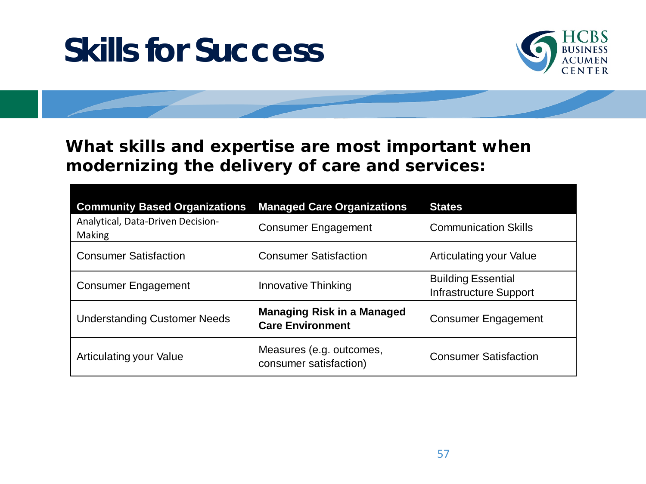# **Skills for Success**



#### **What skills and expertise are most important when modernizing the delivery of care and services:**

| <b>Community Based Organizations</b>        | <b>Managed Care Organizations</b>                            | <b>States</b>                                              |
|---------------------------------------------|--------------------------------------------------------------|------------------------------------------------------------|
| Analytical, Data-Driven Decision-<br>Making | <b>Consumer Engagement</b>                                   | <b>Communication Skills</b>                                |
| <b>Consumer Satisfaction</b>                | <b>Consumer Satisfaction</b>                                 | Articulating your Value                                    |
| <b>Consumer Engagement</b>                  | <b>Innovative Thinking</b>                                   | <b>Building Essential</b><br><b>Infrastructure Support</b> |
| <b>Understanding Customer Needs</b>         | <b>Managing Risk in a Managed</b><br><b>Care Environment</b> | <b>Consumer Engagement</b>                                 |
| <b>Articulating your Value</b>              | Measures (e.g. outcomes,<br>consumer satisfaction)           | <b>Consumer Satisfaction</b>                               |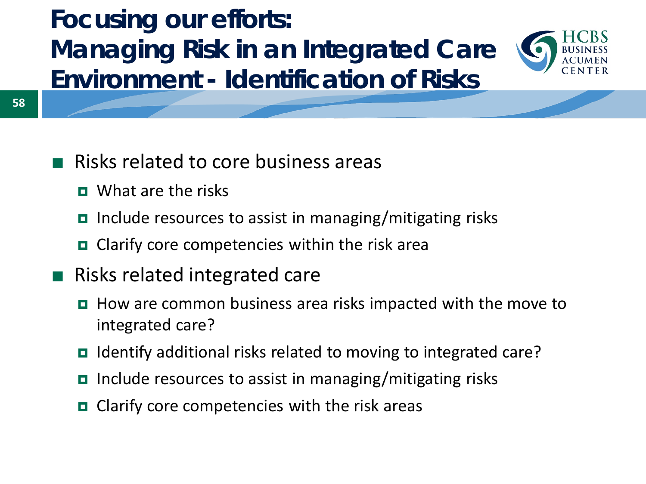#### **Focusing our efforts: Managing Risk in an Integrated Care Environment - Identification of Risks**



- Risks related to core business areas
	- **D** What are the risks
	- $\blacksquare$  Include resources to assist in managing/mitigating risks
	- $\Box$  Clarify core competencies within the risk area
- Risks related integrated care
	- $\blacksquare$  How are common business area risks impacted with the move to integrated care?
	- Identify additional risks related to moving to integrated care?
	- $\blacksquare$  Include resources to assist in managing/mitigating risks
	- $\Box$  Clarify core competencies with the risk areas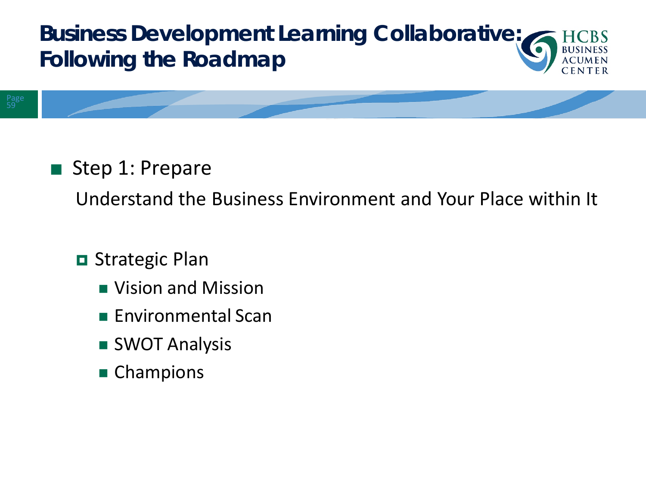#### **Business Development Learning Collaborative: Following the Roadmap**

#### ■ Step 1: Prepare

Understand the Business Environment and Your Place within It

#### **□** Strategic Plan

- **Nision and Mission**
- $\blacksquare$  Environmental Scan
- **SWOT Analysis**
- Champions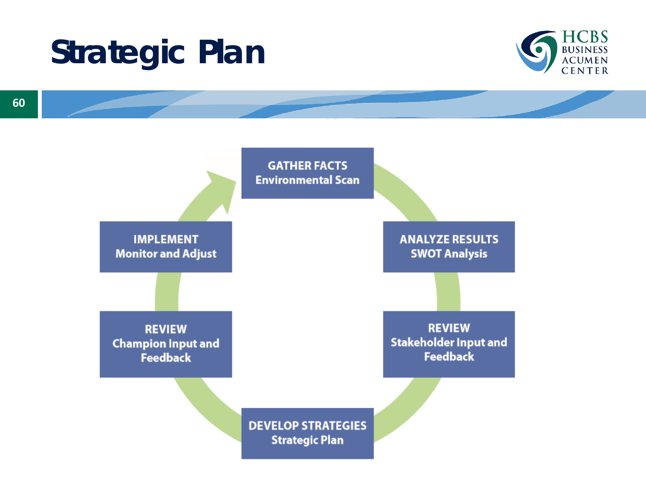# **Strategic Plan**



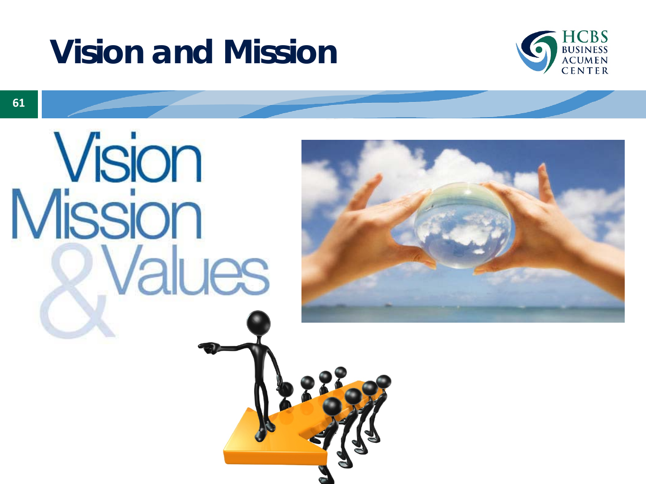



**Vision**<br>Mission **Values** 

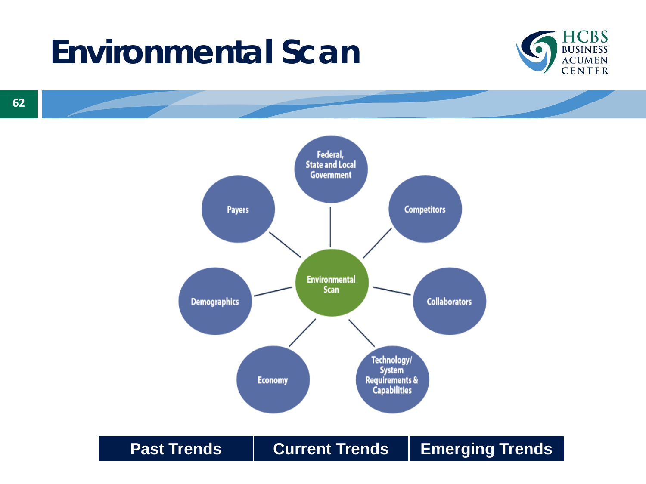# **Environmental Scan**





**Past Trends | Current Trends | Emerging Trends**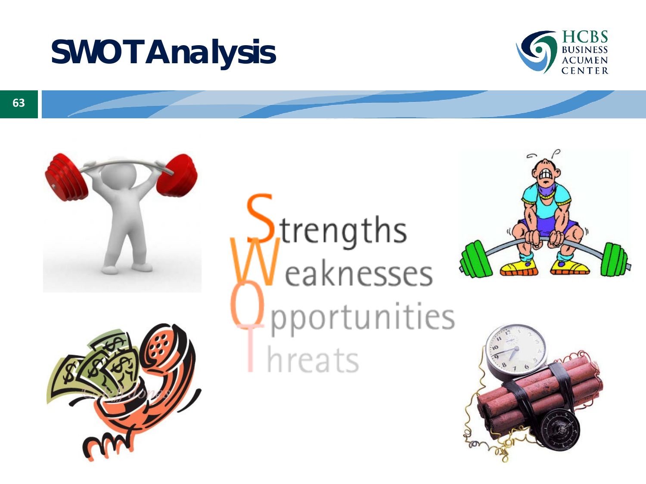# **SWOT Analysis**







Strengths<br>Veaknesses pportunities hreats



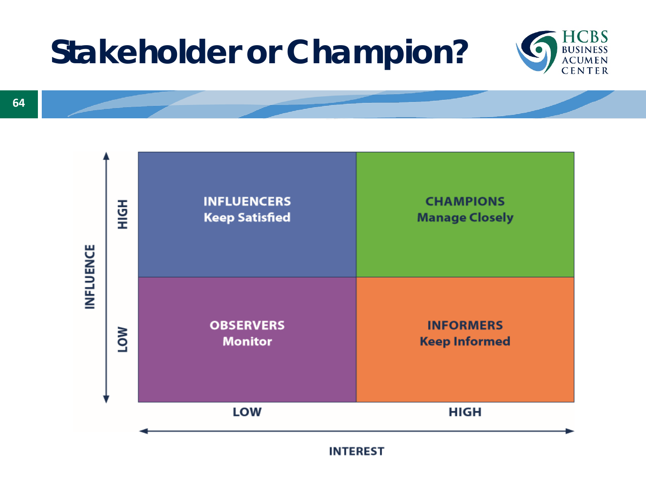# **Stakeholder or Champion?**



**64**



**INTEREST**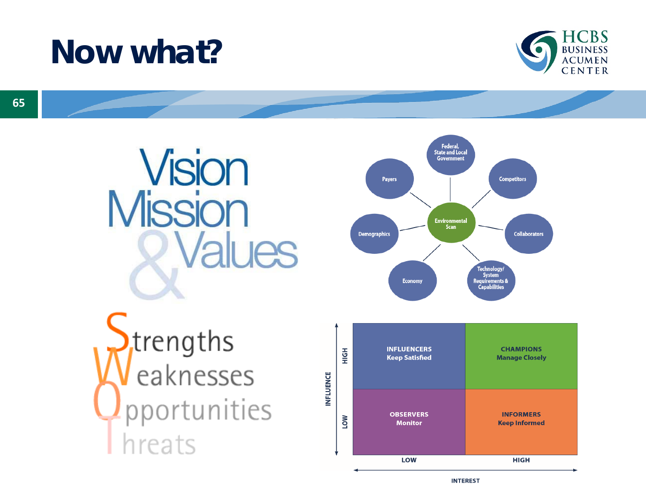# **Now what?**



**Vision<br>Mission Values** trengths<br>eaknesses portunities hreats





**INTEREST**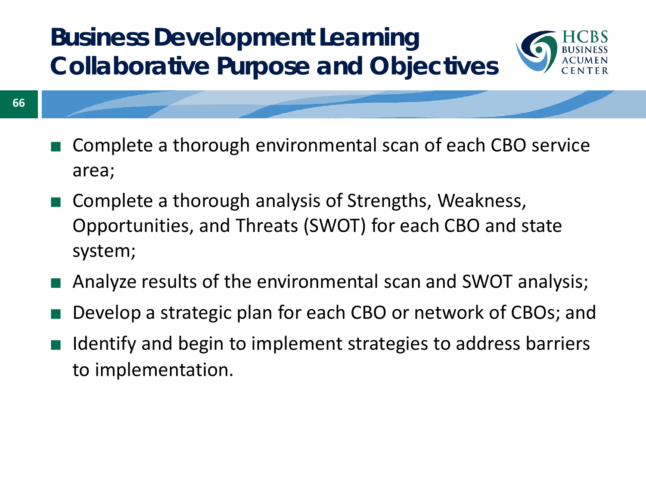#### **Business Development Learning Collaborative Purpose and Objectives**



- Complete a thorough environmental scan of each CBO service area;
- Complete a thorough analysis of Strengths, Weakness, Opportunities, and Threats (SWOT) for each CBO and state system;
- Analyze results of the environmental scan and SWOT analysis;
- Develop a strategic plan for each CBO or network of CBOs; and
- Identify and begin to implement strategies to address barriers to implementation.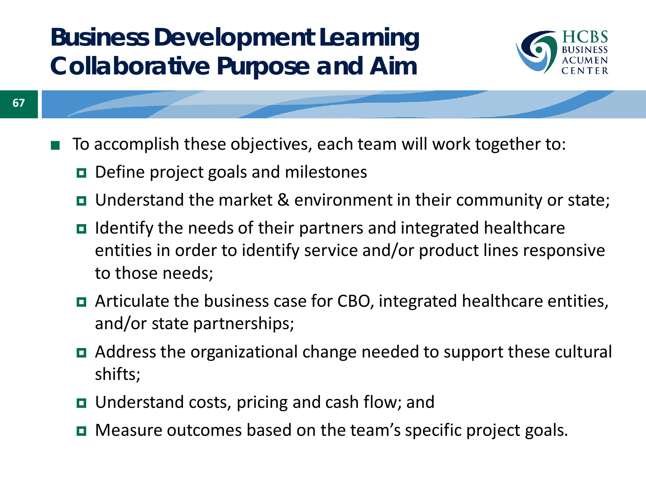#### **Business Development Learning Collaborative Purpose and Aim**



- To accomplish these objectives, each team will work together to:
	- $\blacksquare$  Define project goals and milestones

**67**

- Understand the market & environment in their community or state;
- I Identify the needs of their partners and integrated healthcare entities in order to identify service and/or product lines responsive to those needs;
- Articulate the business case for CBO, integrated healthcare entities, and/or state partnerships;
- Address the organizational change needed to support these cultural shifts;
- Understand costs, pricing and cash flow; and
- **□** Measure outcomes based on the team's specific project goals.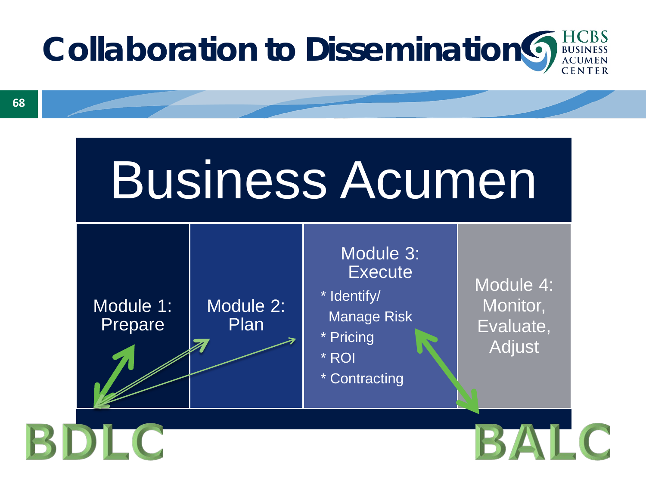

# Business Acumen



BDLC

#### Module 3: **Execute**

\* Identify/ Manage Risk

\* Pricing

\* ROI

\* Contracting

Module 4: Monitor, Evaluate, Adjust

BALC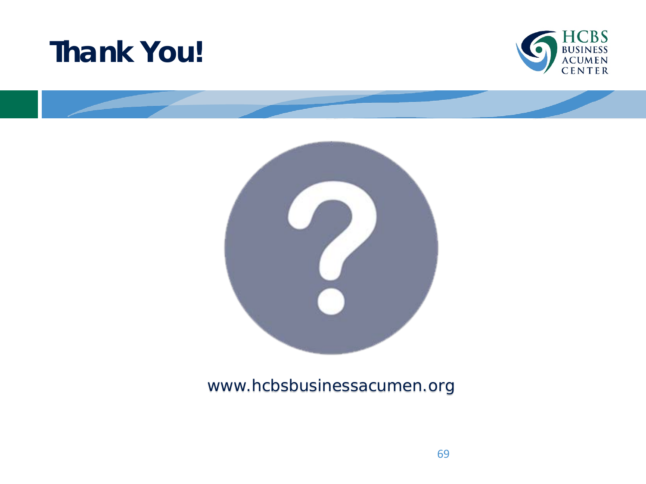### **Thank You!**





#### www.hcbsbusinessacumen.org